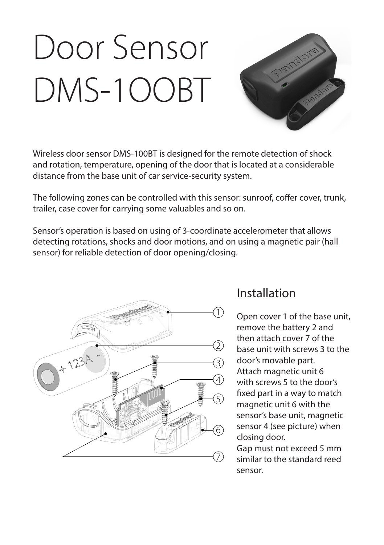# Door Sensor DMS-1OOBT



Wireless door sensor DMS-100BT is designed for the remote detection of shock and rotation, temperature, opening of the door that is located at a considerable distance from the base unit of car service-security system.

The following zones can be controlled with this sensor: sunroof, coffer cover, trunk, trailer, case cover for carrying some valuables and so on.

Sensor's operation is based on using of 3-coordinate accelerometer that allows detecting rotations, shocks and door motions, and on using a magnetic pair (hall sensor) for reliable detection of door opening/closing.



#### Installation

Open cover 1 of the base unit, remove the battery 2 and then attach cover 7 of the base unit with screws 3 to the door's movable part. Attach magnetic unit 6 with screws 5 to the door's fixed part in a way to match magnetic unit 6 with the sensor's base unit, magnetic sensor 4 (see picture) when closing door.

Gap must not exceed 5 mm similar to the standard reed sensor.